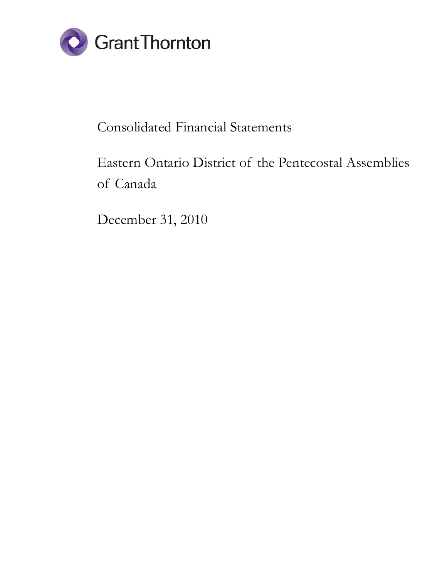

# Consolidated Financial Statements

# Eastern Ontario District of the Pentecostal Assemblies of Canada

December 31, 2010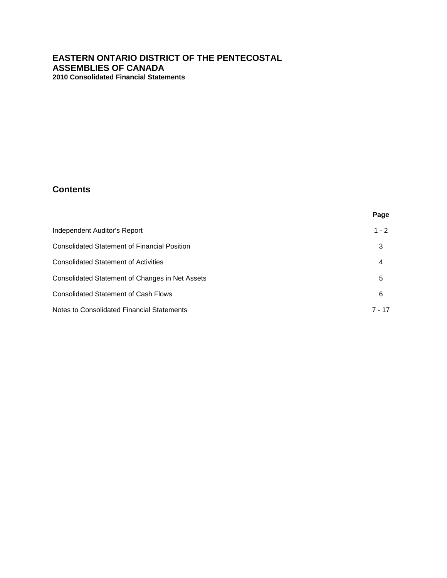# **Contents**

|                                                 | Page     |
|-------------------------------------------------|----------|
| Independent Auditor's Report                    | $1 - 2$  |
| Consolidated Statement of Financial Position    | 3        |
| <b>Consolidated Statement of Activities</b>     | 4        |
| Consolidated Statement of Changes in Net Assets | 5        |
| <b>Consolidated Statement of Cash Flows</b>     | 6        |
| Notes to Consolidated Financial Statements      | $7 - 17$ |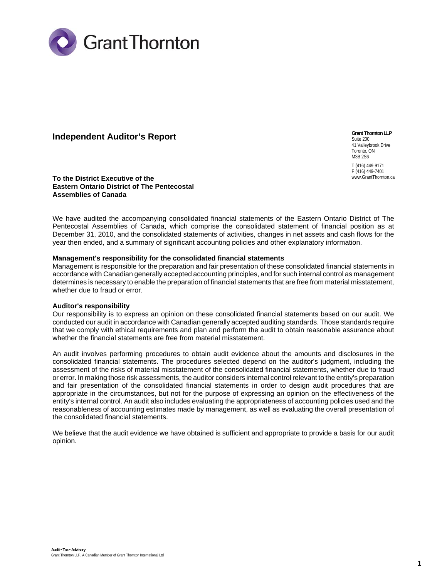

## **Independent Auditor's Report**

**Grant Thornton LLP**  Suite 200 41 Valleybrook Drive Toronto, ON M3B 2S6 T (416) 449-9171 F (416) 449-7401 www.GrantThornton.ca

**To the District Executive of the Eastern Ontario District of The Pentecostal Assemblies of Canada**

We have audited the accompanying consolidated financial statements of the Eastern Ontario District of The Pentecostal Assemblies of Canada, which comprise the consolidated statement of financial position as at December 31, 2010, and the consolidated statements of activities, changes in net assets and cash flows for the year then ended, and a summary of significant accounting policies and other explanatory information.

#### **Management's responsibility for the consolidated financial statements**

Management is responsible for the preparation and fair presentation of these consolidated financial statements in accordance with Canadian generally accepted accounting principles, and for such internal control as management determines is necessary to enable the preparation of financial statements that are free from material misstatement, whether due to fraud or error.

#### **Auditor's responsibility**

Our responsibility is to express an opinion on these consolidated financial statements based on our audit. We conducted our audit in accordance with Canadian generally accepted auditing standards. Those standards require that we comply with ethical requirements and plan and perform the audit to obtain reasonable assurance about whether the financial statements are free from material misstatement.

entity's internal control. An audit also includes evaluating the appropriateness of accounting policies used and the<br>recessed larges of accounting estimates made by magaziness to a vielles avaluation the avanall appearatio An audit involves performing procedures to obtain audit evidence about the amounts and disclosures in the consolidated financial statements. The procedures selected depend on the auditor's judgment, including the assessment of the risks of material misstatement of the consolidated financial statements, whether due to fraud or error. In making those risk assessments, the auditor considers internal control relevant to the entity's preparation and fair presentation of the consolidated financial statements in order to design audit procedures that are appropriate in the circumstances, but not for the purpose of expressing an opinion on the effectiveness of the reasonableness of accounting estimates made by management, as well as evaluating the overall presentation of the consolidated financial statements.

We believe that the audit evidence we have obtained is sufficient and appropriate to provide a basis for our audit opinion.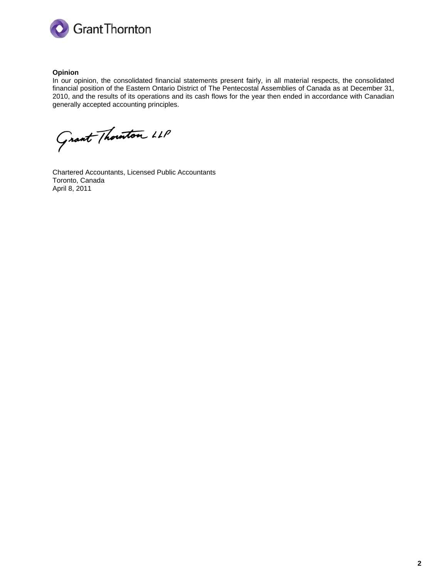

#### **Opinion**

In our opinion, the consolidated financial statements present fairly, in all material respects, the consolidated financial position of the Eastern Ontario District of The Pentecostal Assemblies of Canada as at December 31, 2010, and the results of its operations and its cash flows for the year then ended in accordance with Canadian generally accepted accounting principles.

Grant Thornton LLP

Chartered Accountants, Licensed Public Accountants Toronto, Canada April 8, 2011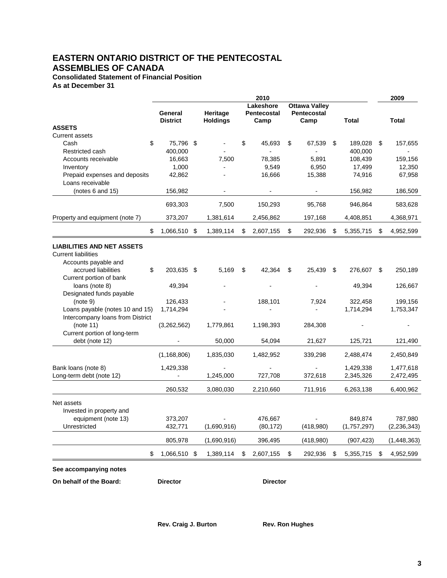# **EASTERN ONTARIO DISTRICT OF THE PENTECOSTAL ASSEMBLIES OF CANADA**

**Consolidated Statement of Financial Position As at December 31**

|                                                                 | 2010                       |  |                             |                          |                |                                                            | 2009           |       |             |       |               |
|-----------------------------------------------------------------|----------------------------|--|-----------------------------|--------------------------|----------------|------------------------------------------------------------|----------------|-------|-------------|-------|---------------|
|                                                                 | General<br><b>District</b> |  | Heritage<br><b>Holdings</b> | Lakeshore<br>Pentecostal |                | <b>Ottawa Valley</b><br><b>Pentecostal</b><br>Camp<br>Camp |                | Total |             | Total |               |
| <b>ASSETS</b>                                                   |                            |  |                             |                          |                |                                                            |                |       |             |       |               |
| <b>Current assets</b>                                           |                            |  |                             |                          |                |                                                            |                |       |             |       |               |
| \$<br>Cash                                                      | 75,796 \$                  |  |                             | \$                       | 45,693         | \$                                                         | 67,539         | \$    | 189,028     | \$    | 157,655       |
| Restricted cash                                                 | 400,000                    |  |                             |                          |                |                                                            |                |       | 400,000     |       |               |
| Accounts receivable                                             | 16,663                     |  | 7,500                       |                          | 78,385         |                                                            | 5,891          |       | 108,439     |       | 159,156       |
| Inventory                                                       | 1,000                      |  |                             |                          | 9,549          |                                                            | 6,950          |       | 17,499      |       | 12,350        |
| Prepaid expenses and deposits<br>Loans receivable               | 42,862                     |  |                             |                          | 16,666         |                                                            | 15,388         |       | 74,916      |       | 67,958        |
| (notes 6 and 15)                                                | 156,982                    |  | $\overline{\phantom{a}}$    |                          | $\blacksquare$ |                                                            | $\blacksquare$ |       | 156,982     |       | 186,509       |
|                                                                 | 693,303                    |  | 7,500                       |                          | 150,293        |                                                            | 95,768         |       | 946,864     |       | 583,628       |
| Property and equipment (note 7)                                 | 373,207                    |  | 1,381,614                   |                          | 2,456,862      |                                                            | 197,168        |       | 4,408,851   |       | 4,368,971     |
| \$                                                              | 1,066,510 \$               |  | 1,389,114                   | \$                       | 2,607,155      | \$                                                         | 292,936        | S     | 5,355,715   | \$    | 4,952,599     |
| <b>LIABILITIES AND NET ASSETS</b><br><b>Current liabilities</b> |                            |  |                             |                          |                |                                                            |                |       |             |       |               |
| Accounts payable and                                            |                            |  |                             |                          |                |                                                            |                |       |             |       |               |
| accrued liabilities<br>\$                                       | 203,635 \$                 |  | 5,169                       | \$                       | 42,364         | \$                                                         | 25,439         | \$    | 276,607     | \$    | 250,189       |
| Current portion of bank                                         |                            |  |                             |                          |                |                                                            |                |       |             |       |               |
| loans (note 8)                                                  | 49,394                     |  |                             |                          |                |                                                            |                |       | 49,394      |       | 126,667       |
| Designated funds payable                                        |                            |  |                             |                          |                |                                                            |                |       |             |       |               |
| (note 9)                                                        | 126,433                    |  |                             |                          | 188,101        |                                                            | 7,924          |       | 322,458     |       | 199,156       |
| Loans payable (notes 10 and 15)                                 | 1,714,294                  |  |                             |                          |                |                                                            |                |       | 1,714,294   |       | 1,753,347     |
| Intercompany loans from District                                |                            |  |                             |                          |                |                                                            |                |       |             |       |               |
| (note 11)                                                       | (3,262,562)                |  | 1,779,861                   |                          | 1,198,393      |                                                            | 284,308        |       |             |       |               |
| Current portion of long-term                                    |                            |  |                             |                          |                |                                                            |                |       |             |       |               |
| debt (note 12)                                                  |                            |  | 50,000                      |                          | 54,094         |                                                            | 21,627         |       | 125,721     |       | 121,490       |
|                                                                 | (1, 168, 806)              |  | 1,835,030                   |                          | 1,482,952      |                                                            | 339,298        |       | 2,488,474   |       | 2,450,849     |
|                                                                 | 1,429,338                  |  |                             |                          |                |                                                            |                |       | 1,429,338   |       |               |
| Bank loans (note 8)<br>Long-term debt (note 12)                 |                            |  | 1,245,000                   |                          | 727,708        |                                                            | 372,618        |       |             |       | 1,477,618     |
|                                                                 |                            |  |                             |                          |                |                                                            |                |       | 2,345,326   |       | 2,472,495     |
|                                                                 | 260.532                    |  | 3,080,030                   |                          | 2.210.660      |                                                            | 711.916        |       | 6,263,138   |       | 6,400,962     |
| Net assets                                                      |                            |  |                             |                          |                |                                                            |                |       |             |       |               |
| Invested in property and                                        |                            |  |                             |                          |                |                                                            |                |       |             |       |               |
| equipment (note 13)                                             | 373,207                    |  |                             |                          | 476,667        |                                                            |                |       | 849,874     |       | 787,980       |
| Unrestricted                                                    | 432,771                    |  | (1,690,916)                 |                          | (80, 172)      |                                                            | (418,980)      |       | (1,757,297) |       | (2, 236, 343) |
|                                                                 | 805,978                    |  | (1,690,916)                 |                          | 396,495        |                                                            | (418,980)      |       | (907, 423)  |       | (1, 448, 363) |
| \$                                                              | 1,066,510 \$               |  | 1,389,114                   | \$                       | 2,607,155      | \$                                                         | 292,936        | \$    | 5,355,715   | \$    | 4,952,599     |
| See accompanying notes                                          |                            |  |                             |                          |                |                                                            |                |       |             |       |               |

**On behalf of the Board: Conservery Conservery Conservery Conservery Conservery Conservery Conservery Conservery**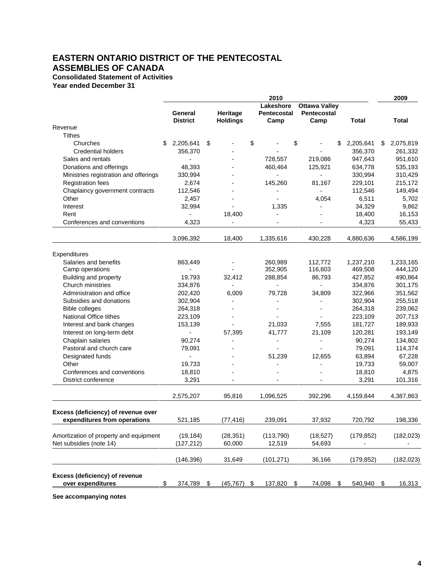# **EASTERN ONTARIO DISTRICT OF THE PENTECOSTAL ASSEMBLIES OF CANADA**

## **Consolidated Statement of Activities**

**Year ended December 31**

|                                        |                            |      |                             | 2010                             |    |                                             |   |            | 2009            |
|----------------------------------------|----------------------------|------|-----------------------------|----------------------------------|----|---------------------------------------------|---|------------|-----------------|
|                                        | General<br><b>District</b> |      | Heritage<br><b>Holdings</b> | Lakeshore<br>Pentecostal<br>Camp |    | <b>Ottawa Valley</b><br>Pentecostal<br>Camp |   | Total      | Total           |
| Revenue                                |                            |      |                             |                                  |    |                                             |   |            |                 |
| <b>Tithes</b>                          |                            |      |                             |                                  |    |                                             |   |            |                 |
| Churches                               | 2,205,641<br>\$            | \$   |                             | \$                               | \$ |                                             | S | 2,205,641  | \$<br>2,075,819 |
| <b>Credential holders</b>              | 356,370                    |      |                             |                                  |    |                                             |   | 356,370    | 261,332         |
| Sales and rentals                      | $\overline{a}$             |      |                             | 728,557                          |    | 219,086                                     |   | 947,643    | 951,610         |
| Donations and offerings                | 48,393                     |      |                             | 460,464                          |    | 125,921                                     |   | 634,778    | 535,193         |
| Ministries registration and offerings  | 330,994                    |      |                             |                                  |    |                                             |   | 330,994    | 310,429         |
| <b>Registration fees</b>               | 2,674                      |      |                             | 145,260                          |    | 81,167                                      |   | 229,101    | 215,172         |
| Chaplaincy government contracts        | 112,546                    |      |                             |                                  |    |                                             |   | 112,546    | 149,494         |
| Other                                  | 2,457                      |      |                             |                                  |    | 4,054                                       |   | 6,511      | 5,702           |
| Interest                               | 32,994                     |      |                             | 1,335                            |    |                                             |   | 34,329     | 9,862           |
| Rent                                   |                            |      | 18,400                      |                                  |    |                                             |   | 18,400     | 16,153          |
| Conferences and conventions            | 4,323                      |      |                             |                                  |    |                                             |   | 4,323      | 55,433          |
|                                        |                            |      |                             |                                  |    |                                             |   |            |                 |
|                                        | 3,096,392                  |      | 18,400                      | 1,335,616                        |    | 430,228                                     |   | 4,880,636  | 4,586,199       |
| Expenditures                           |                            |      |                             |                                  |    |                                             |   |            |                 |
| Salaries and benefits                  | 863,449                    |      |                             | 260,989                          |    | 112,772                                     |   | 1,237,210  | 1,233,165       |
| Camp operations                        |                            |      |                             | 352,905                          |    | 116,603                                     |   | 469,508    | 444,120         |
| Building and property                  | 19,793                     |      | 32,412                      | 288,854                          |    | 86,793                                      |   | 427,852    | 490,864         |
| Church ministries                      | 334,876                    |      |                             |                                  |    |                                             |   | 334,876    | 301,175         |
| Administration and office              | 202,420                    |      | 6,009                       | 79,728                           |    | 34,809                                      |   | 322,966    | 351,562         |
| Subsidies and donations                | 302,904                    |      |                             |                                  |    |                                             |   | 302,904    | 255,518         |
| <b>Bible colleges</b>                  | 264,318                    |      |                             |                                  |    |                                             |   | 264,318    | 239,062         |
| National Office tithes                 | 223,109                    |      |                             |                                  |    |                                             |   | 223,109    | 207,713         |
| Interest and bank charges              | 153,139                    |      |                             | 21,033                           |    | 7,555                                       |   | 181,727    | 189,933         |
| Interest on long-term debt             |                            |      | 57,395                      | 41,777                           |    | 21,109                                      |   | 120,281    | 193,149         |
| Chaplain salaries                      | 90,274                     |      | $\overline{a}$              |                                  |    | $\overline{a}$                              |   | 90,274     | 134,802         |
| Pastoral and church care               | 79,091                     |      |                             |                                  |    |                                             |   | 79,091     | 114,374         |
| Designated funds                       | $\overline{\phantom{a}}$   |      |                             | 51,239                           |    | 12,655                                      |   | 63,894     | 67,228          |
| Other                                  | 19,733                     |      |                             |                                  |    |                                             |   | 19,733     | 59,007          |
| Conferences and conventions            | 18,810                     |      |                             |                                  |    |                                             |   | 18,810     | 4,875           |
| District conference                    | 3,291                      |      |                             |                                  |    |                                             |   | 3,291      | 101,316         |
|                                        |                            |      |                             |                                  |    |                                             |   |            |                 |
|                                        | 2,575,207                  |      | 95,816                      | 1,096,525                        |    | 392,296                                     |   | 4,159,844  | 4,387,863       |
| Excess (deficiency) of revenue over    |                            |      |                             |                                  |    |                                             |   |            |                 |
| expenditures from operations           | 521,185                    |      | (77, 416)                   | 239,091                          |    | 37,932                                      |   | 720,792    | 198,336         |
| Amortization of property and equipment | (19, 184)                  |      | (28, 351)                   | (113, 790)                       |    | (18, 527)                                   |   | (179, 852) | (182, 023)      |
| Net subsidies (note 14)                | (127, 212)                 |      | 60,000                      | 12,519                           |    | 54,693                                      |   |            |                 |
|                                        |                            |      |                             |                                  |    |                                             |   |            |                 |
|                                        | (146, 396)                 |      | 31,649                      | (101, 271)                       |    | 36,166                                      |   | (179, 852) | (182, 023)      |
| Excess (deficiency) of revenue         |                            |      |                             |                                  |    |                                             |   |            |                 |
| over expenditures                      | \$<br>374,789              | - \$ | (45, 767)                   | \$<br>137,820                    | -S | 74,098 \$                                   |   | 540,940    | \$<br>16,313    |
|                                        |                            |      |                             |                                  |    |                                             |   |            |                 |

**See accompanying notes**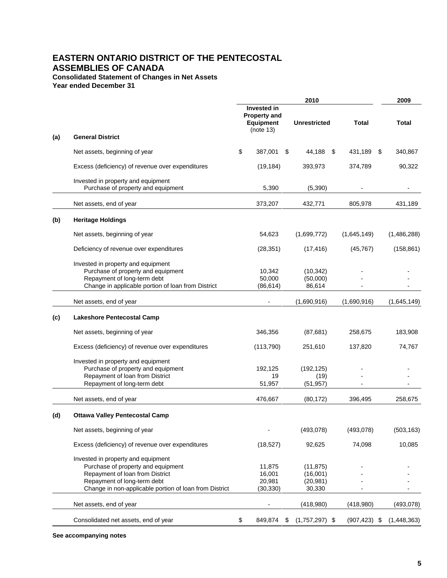# **EASTERN ONTARIO DISTRICT OF THE PENTECOSTAL ASSEMBLIES OF CANADA**

#### **Consolidated Statement of Changes in Net Assets**

**Year ended December 31**

|     |                                                                                                                                                                                                      | 2010 |                                                                            |    |                                              | 2009             |             |
|-----|------------------------------------------------------------------------------------------------------------------------------------------------------------------------------------------------------|------|----------------------------------------------------------------------------|----|----------------------------------------------|------------------|-------------|
|     |                                                                                                                                                                                                      |      | <b>Invested in</b><br><b>Property and</b><br><b>Equipment</b><br>(note 13) |    | <b>Unrestricted</b>                          | Total            | Total       |
| (a) | <b>General District</b>                                                                                                                                                                              |      |                                                                            |    |                                              |                  |             |
|     | Net assets, beginning of year                                                                                                                                                                        | \$   | 387,001                                                                    | -S | 44,188                                       | \$<br>431,189 \$ | 340,867     |
|     | Excess (deficiency) of revenue over expenditures                                                                                                                                                     |      | (19, 184)                                                                  |    | 393,973                                      | 374,789          | 90,322      |
|     | Invested in property and equipment<br>Purchase of property and equipment                                                                                                                             |      | 5,390                                                                      |    | (5,390)                                      |                  |             |
|     | Net assets, end of year                                                                                                                                                                              |      | 373,207                                                                    |    | 432,771                                      | 805,978          | 431,189     |
| (b) | <b>Heritage Holdings</b>                                                                                                                                                                             |      |                                                                            |    |                                              |                  |             |
|     | Net assets, beginning of year                                                                                                                                                                        |      | 54,623                                                                     |    | (1,699,772)                                  | (1,645,149)      | (1,486,288) |
|     | Deficiency of revenue over expenditures                                                                                                                                                              |      | (28, 351)                                                                  |    | (17, 416)                                    | (45, 767)        | (158, 861)  |
|     | Invested in property and equipment<br>Purchase of property and equipment<br>Repayment of long-term debt<br>Change in applicable portion of loan from District                                        |      | 10,342<br>50,000<br>(86, 614)                                              |    | (10, 342)<br>(50,000)<br>86,614              |                  |             |
|     | Net assets, end of year                                                                                                                                                                              |      |                                                                            |    | (1,690,916)                                  | (1,690,916)      | (1,645,149) |
| (c) | <b>Lakeshore Pentecostal Camp</b>                                                                                                                                                                    |      |                                                                            |    |                                              |                  |             |
|     | Net assets, beginning of year                                                                                                                                                                        |      | 346,356                                                                    |    | (87, 681)                                    | 258,675          | 183,908     |
|     | Excess (deficiency) of revenue over expenditures                                                                                                                                                     |      | (113, 790)                                                                 |    | 251,610                                      | 137,820          | 74,767      |
|     | Invested in property and equipment<br>Purchase of property and equipment<br>Repayment of loan from District<br>Repayment of long-term debt                                                           |      | 192,125<br>19<br>51,957                                                    |    | (192, 125)<br>(19)<br>(51, 957)              |                  |             |
|     | Net assets, end of year                                                                                                                                                                              |      | 476,667                                                                    |    | (80, 172)                                    | 396,495          | 258,675     |
| (d) | <b>Ottawa Valley Pentecostal Camp</b>                                                                                                                                                                |      |                                                                            |    |                                              |                  |             |
|     | Net assets, beginning of year                                                                                                                                                                        |      |                                                                            |    | (493,078)                                    | (493,078)        | (503, 163)  |
|     | Excess (deficiency) of revenue over expenditures                                                                                                                                                     |      | (18, 527)                                                                  |    | 92,625                                       | 74,098           | 10,085      |
|     | Invested in property and equipment<br>Purchase of property and equipment<br>Repayment of loan from District<br>Repayment of long-term debt<br>Change in non-applicable portion of loan from District |      | 11,875<br>16,001<br>20,981<br>(30, 330)                                    |    | (11, 875)<br>(16,001)<br>(20, 981)<br>30,330 |                  |             |
|     | Net assets, end of year                                                                                                                                                                              |      |                                                                            |    | (418,980)                                    | (418,980)        | (493, 078)  |
|     | Consolidated net assets, end of year                                                                                                                                                                 | \$   | 849,874                                                                    | \$ | $(1,757,297)$ \$                             | $(907, 423)$ \$  | (1,448,363) |

**See accompanying notes**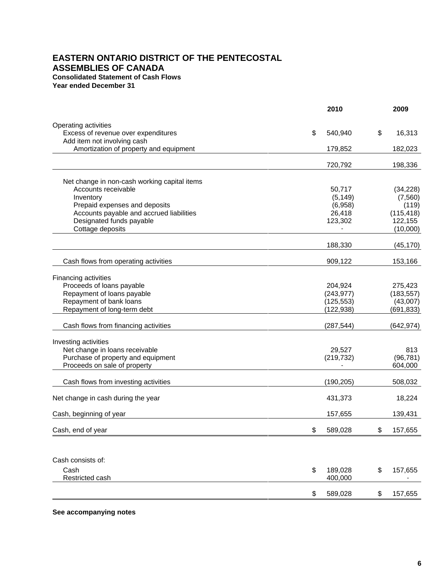### **EASTERN ONTARIO DISTRICT OF THE PENTECOSTAL ASSEMBLIES OF CANADA Consolidated Statement of Cash Flows Year ended December 31**

**2010 2009** Operating activities Excess of revenue over expenditures by the set of the set of the set of the set of the set of the set of the set of the set of the set of the set of the set of the set of the set of the set of the set of the set of the set Add item not involving cash Amortization of property and equipment 179,852 182,023 720,792 198,336 Net change in non-cash working capital items Accounts receivable 60,717 (34,228) Inventory (5,149) (7,560) Prepaid expenses and deposits (6,958) (119) Accounts payable and accrued liabilities 26,418 (115,418) Designated funds payable **123,302** 122,155 Cottage deposits (10,000) and the contract of the contract of the contract of the contract of the contract of the contract of the contract of the contract of the contract of the contract of the contract of the contract of 188,330 (45,170) Cash flows from operating activities **60.6 and 50.6 and 50.6 and 50.6 and 50.6 and 50.6 and 60.6 and 60.6 and 60.6 and 60.6 and 60.6 and 60.6 and 60.6 and 60.6 and 60.6 and 60.6 and 60.6 and 60.6 and 60.6 and 60.6 and 60.6** Financing activities Proceeds of loans payable 201, 200 and 204,924 275,423 Repayment of loans payable (243,977) (183,557)<br>Repayment of bank loans (243,977) (43,007) Repayment of bank loans Repayment of long-term debt (122,938) (691,833) Cash flows from financing activities (287,544) (642,974) Investing activities Net change in loans receivable 29,527 813 Purchase of property and equipment (219,732) (96,781) Proceeds on sale of property  $604,000$ Cash flows from investing activities (190,205) 508,032 Net change in cash during the year 431,373 18,224 Cash, beginning of year 157,655 139,431 Cash, end of year \$ 589,028 \$ 157,655 Cash consists of: Cash \$ 189,028 \$ 157,655 Restricted cash **400,000** - 10 and 10 and 10 and 10 and 10 and 10 and 10 and 10 and 10 and 10 and 10 and 10 and 10 and 10 and 10 and 10 and 10 and 10 and 10 and 10 and 10 and 10 and 10 and 10 and 10 and 10 and 10 and 10 an \$ 589,028 \$ 157,655

**See accompanying notes**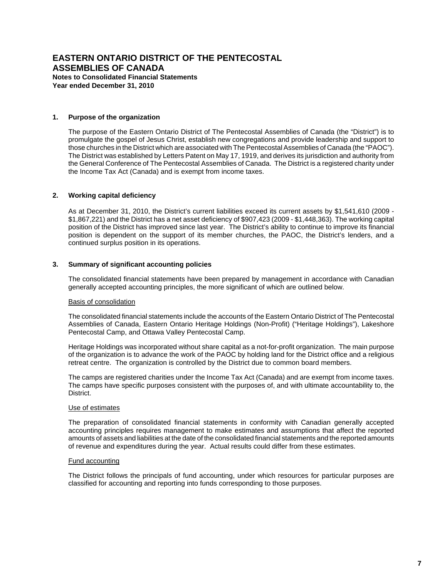#### **1. Purpose of the organization**

The purpose of the Eastern Ontario District of The Pentecostal Assemblies of Canada (the "District") is to promulgate the gospel of Jesus Christ, establish new congregations and provide leadership and support to those churches in the District which are associated with The Pentecostal Assemblies of Canada (the "PAOC"). The District was established by Letters Patent on May 17, 1919, and derives its jurisdiction and authority from the General Conference of The Pentecostal Assemblies of Canada. The District is a registered charity under the Income Tax Act (Canada) and is exempt from income taxes.

#### **2. Working capital deficiency**

As at December 31, 2010, the District's current liabilities exceed its current assets by \$1,541,610 (2009 - \$1,867,221) and the District has a net asset deficiency of \$907,423 (2009 - \$1,448,363). The working capital position of the District has improved since last year. The District's ability to continue to improve its financial position is dependent on the support of its member churches, the PAOC, the District's lenders, and a continued surplus position in its operations.

#### **3. Summary of significant accounting policies**

The consolidated financial statements have been prepared by management in accordance with Canadian generally accepted accounting principles, the more significant of which are outlined below.

#### Basis of consolidation

The consolidated financial statements include the accounts of the Eastern Ontario District of The Pentecostal Assemblies of Canada, Eastern Ontario Heritage Holdings (Non-Profit) ("Heritage Holdings"), Lakeshore Pentecostal Camp, and Ottawa Valley Pentecostal Camp.

Heritage Holdings was incorporated without share capital as a not-for-profit organization. The main purpose of the organization is to advance the work of the PAOC by holding land for the District office and a religious retreat centre. The organization is controlled by the District due to common board members.

The camps are registered charities under the Income Tax Act (Canada) and are exempt from income taxes. The camps have specific purposes consistent with the purposes of, and with ultimate accountability to, the District.

#### Use of estimates

The preparation of consolidated financial statements in conformity with Canadian generally accepted accounting principles requires management to make estimates and assumptions that affect the reported amounts of assets and liabilities at the date of the consolidated financial statements and the reported amounts of revenue and expenditures during the year. Actual results could differ from these estimates.

#### Fund accounting

The District follows the principals of fund accounting, under which resources for particular purposes are classified for accounting and reporting into funds corresponding to those purposes.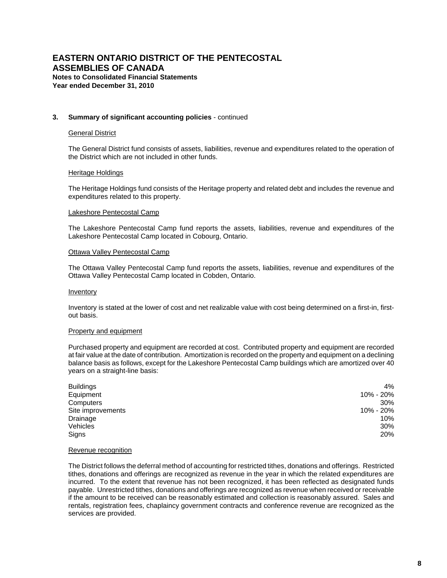#### **3. Summary of significant accounting policies** - continued

#### General District

The General District fund consists of assets, liabilities, revenue and expenditures related to the operation of the District which are not included in other funds.

#### Heritage Holdings

The Heritage Holdings fund consists of the Heritage property and related debt and includes the revenue and expenditures related to this property.

#### Lakeshore Pentecostal Camp

The Lakeshore Pentecostal Camp fund reports the assets, liabilities, revenue and expenditures of the Lakeshore Pentecostal Camp located in Cobourg, Ontario.

#### Ottawa Valley Pentecostal Camp

The Ottawa Valley Pentecostal Camp fund reports the assets, liabilities, revenue and expenditures of the Ottawa Valley Pentecostal Camp located in Cobden, Ontario.

#### **Inventory**

Inventory is stated at the lower of cost and net realizable value with cost being determined on a first-in, firstout basis.

#### Property and equipment

Purchased property and equipment are recorded at cost. Contributed property and equipment are recorded at fair value at the date of contribution. Amortization is recorded on the property and equipment on a declining balance basis as follows, except for the Lakeshore Pentecostal Camp buildings which are amortized over 40 years on a straight-line basis:

| <b>Buildings</b>  | 4%        |
|-------------------|-----------|
| Equipment         | 10% - 20% |
| Computers         | 30%       |
| Site improvements | 10% - 20% |
| Drainage          | 10%       |
| Vehicles          | 30%       |
| Signs             | 20%       |

#### Revenue recognition

The District follows the deferral method of accounting for restricted tithes, donations and offerings. Restricted tithes, donations and offerings are recognized as revenue in the year in which the related expenditures are incurred. To the extent that revenue has not been recognized, it has been reflected as designated funds payable. Unrestricted tithes, donations and offerings are recognized as revenue when received or receivable if the amount to be received can be reasonably estimated and collection is reasonably assured. Sales and rentals, registration fees, chaplaincy government contracts and conference revenue are recognized as the services are provided.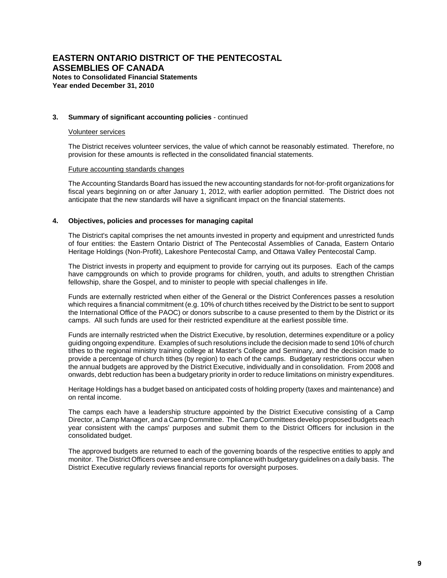#### **3. Summary of significant accounting policies** - continued

#### Volunteer services

The District receives volunteer services, the value of which cannot be reasonably estimated. Therefore, no provision for these amounts is reflected in the consolidated financial statements.

#### Future accounting standards changes

The Accounting Standards Board has issued the new accounting standards for not-for-profit organizations for fiscal years beginning on or after January 1, 2012, with earlier adoption permitted. The District does not anticipate that the new standards will have a significant impact on the financial statements.

#### **4. Objectives, policies and processes for managing capital**

The District's capital comprises the net amounts invested in property and equipment and unrestricted funds of four entities: the Eastern Ontario District of The Pentecostal Assemblies of Canada, Eastern Ontario Heritage Holdings (Non-Profit), Lakeshore Pentecostal Camp, and Ottawa Valley Pentecostal Camp.

The District invests in property and equipment to provide for carrying out its purposes. Each of the camps have campgrounds on which to provide programs for children, youth, and adults to strengthen Christian fellowship, share the Gospel, and to minister to people with special challenges in life.

Funds are externally restricted when either of the General or the District Conferences passes a resolution which requires a financial commitment (e.g. 10% of church tithes received by the District to be sent to support the International Office of the PAOC) or donors subscribe to a cause presented to them by the District or its camps. All such funds are used for their restricted expenditure at the earliest possible time.

Funds are internally restricted when the District Executive, by resolution, determines expenditure or a policy guiding ongoing expenditure. Examples of such resolutions include the decision made to send 10% of church tithes to the regional ministry training college at Master's College and Seminary, and the decision made to provide a percentage of church tithes (by region) to each of the camps. Budgetary restrictions occur when the annual budgets are approved by the District Executive, individually and in consolidation. From 2008 and onwards, debt reduction has been a budgetary priority in order to reduce limitations on ministry expenditures.

Heritage Holdings has a budget based on anticipated costs of holding property (taxes and maintenance) and on rental income.

The camps each have a leadership structure appointed by the District Executive consisting of a Camp Director, a Camp Manager, and a Camp Committee. The Camp Committees develop proposed budgets each year consistent with the camps' purposes and submit them to the District Officers for inclusion in the consolidated budget.

The approved budgets are returned to each of the governing boards of the respective entities to apply and monitor. The District Officers oversee and ensure compliance with budgetary guidelines on a daily basis. The District Executive regularly reviews financial reports for oversight purposes.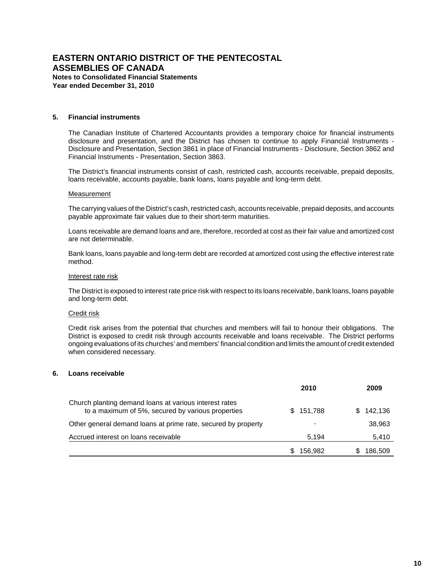**Year ended December 31, 2010**

#### **5. Financial instruments**

The Canadian Institute of Chartered Accountants provides a temporary choice for financial instruments disclosure and presentation, and the District has chosen to continue to apply Financial Instruments - Disclosure and Presentation, Section 3861 in place of Financial Instruments - Disclosure, Section 3862 and Financial Instruments - Presentation, Section 3863.

The District's financial instruments consist of cash, restricted cash, accounts receivable, prepaid deposits, loans receivable, accounts payable, bank loans, loans payable and long-term debt.

#### Measurement

The carrying values of the District's cash, restricted cash, accounts receivable, prepaid deposits, and accounts payable approximate fair values due to their short-term maturities.

Loans receivable are demand loans and are, therefore, recorded at cost as their fair value and amortized cost are not determinable.

Bank loans, loans payable and long-term debt are recorded at amortized cost using the effective interest rate method.

#### Interest rate risk

The District is exposed to interest rate price risk with respect to its loans receivable, bank loans, loans payable and long-term debt.

#### Credit risk

Credit risk arises from the potential that churches and members will fail to honour their obligations. The District is exposed to credit risk through accounts receivable and loans receivable. The District performs ongoing evaluations of its churches' and members' financial condition and limits the amount of credit extended when considered necessary.

#### **6. Loans receivable**

|                                                                                                             | 2010      | 2009         |
|-------------------------------------------------------------------------------------------------------------|-----------|--------------|
| Church planting demand loans at various interest rates<br>to a maximum of 5%, secured by various properties | \$151.788 | 142.136<br>S |
| Other general demand loans at prime rate, secured by property                                               |           | 38,963       |
| Accrued interest on loans receivable                                                                        | 5.194     | 5,410        |
|                                                                                                             | 156.982   | 186,509      |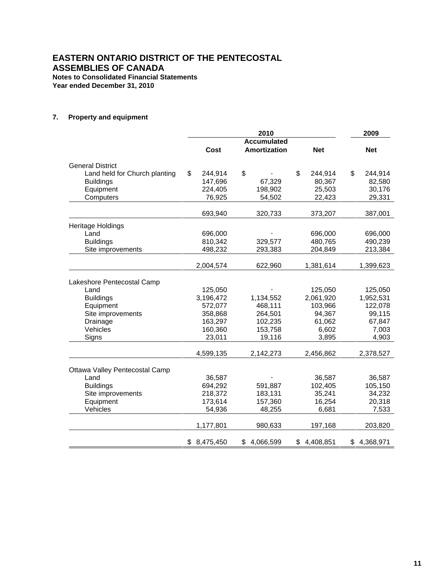**Year ended December 31, 2010**

# **7. Property and equipment**

|                                | 2010 |                      |    |                     |    |                      | 2009                 |
|--------------------------------|------|----------------------|----|---------------------|----|----------------------|----------------------|
|                                |      |                      |    | <b>Accumulated</b>  |    |                      |                      |
|                                |      | Cost                 |    | <b>Amortization</b> |    | <b>Net</b>           | <b>Net</b>           |
| <b>General District</b>        |      |                      |    |                     |    |                      |                      |
| Land held for Church planting  | \$   | 244,914              | \$ |                     | \$ | 244,914              | \$<br>244,914        |
| <b>Buildings</b>               |      | 147,696              |    | 67,329              |    | 80,367               | 82,580               |
| Equipment                      |      | 224,405              |    | 198,902             |    | 25,503               | 30,176               |
| Computers                      |      | 76,925               |    | 54,502              |    | 22,423               | 29,331               |
|                                |      | 693,940              |    | 320,733             |    | 373,207              | 387,001              |
| Heritage Holdings              |      |                      |    |                     |    |                      |                      |
| Land                           |      | 696,000              |    |                     |    | 696,000              | 696,000              |
| <b>Buildings</b>               |      | 810,342              |    | 329,577             |    | 480,765              | 490,239              |
| Site improvements              |      | 498,232              |    | 293,383             |    | 204,849              | 213,384              |
|                                |      | 2,004,574            |    | 622,960             |    | 1,381,614            | 1,399,623            |
|                                |      |                      |    |                     |    |                      |                      |
| Lakeshore Pentecostal Camp     |      |                      |    |                     |    |                      |                      |
| Land                           |      | 125,050              |    |                     |    | 125,050              | 125,050              |
| <b>Buildings</b>               |      | 3,196,472<br>572,077 |    | 1,134,552           |    | 2,061,920<br>103,966 | 1,952,531<br>122,078 |
| Equipment<br>Site improvements |      | 358,868              |    | 468,111<br>264,501  |    | 94,367               | 99,115               |
| Drainage                       |      | 163,297              |    | 102,235             |    | 61,062               | 67,847               |
| Vehicles                       |      | 160,360              |    | 153,758             |    | 6,602                | 7,003                |
| Signs                          |      | 23,011               |    | 19,116              |    | 3,895                | 4,903                |
|                                |      | 4,599,135            |    | 2,142,273           |    | 2,456,862            | 2,378,527            |
|                                |      |                      |    |                     |    |                      |                      |
| Ottawa Valley Pentecostal Camp |      |                      |    |                     |    |                      |                      |
| Land                           |      | 36,587               |    |                     |    | 36,587               | 36,587               |
| <b>Buildings</b>               |      | 694,292              |    | 591,887             |    | 102,405              | 105,150              |
| Site improvements              |      | 218,372              |    | 183,131             |    | 35,241               | 34,232               |
| Equipment                      |      | 173,614              |    | 157,360             |    | 16,254               | 20,318               |
| Vehicles                       |      | 54,936               |    | 48,255              |    | 6,681                | 7,533                |
|                                |      | 1,177,801            |    | 980,633             |    | 197,168              | 203,820              |
|                                | \$   | 8,475,450            | \$ | 4,066,599           | \$ | 4,408,851            | \$<br>4,368,971      |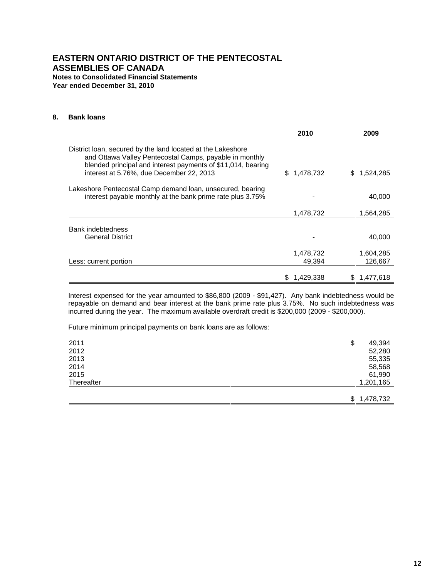**Year ended December 31, 2010**

#### **8. Bank loans**

|                                                                                                                                                                                                                                    | 2010                | 2009                 |
|------------------------------------------------------------------------------------------------------------------------------------------------------------------------------------------------------------------------------------|---------------------|----------------------|
| District loan, secured by the land located at the Lakeshore<br>and Ottawa Valley Pentecostal Camps, payable in monthly<br>blended principal and interest payments of \$11,014, bearing<br>interest at 5.76%, due December 22, 2013 | 1,478,732<br>S.     | 1,524,285<br>\$.     |
| Lakeshore Pentecostal Camp demand loan, unsecured, bearing<br>interest payable monthly at the bank prime rate plus 3.75%                                                                                                           |                     | 40,000               |
|                                                                                                                                                                                                                                    | 1,478,732           | 1,564,285            |
| Bank indebtedness                                                                                                                                                                                                                  |                     |                      |
| General District                                                                                                                                                                                                                   |                     | 40,000               |
| Less: current portion                                                                                                                                                                                                              | 1,478,732<br>49,394 | 1,604,285<br>126,667 |
|                                                                                                                                                                                                                                    | 1.429.338           | 1.477.618            |

Interest expensed for the year amounted to \$86,800 (2009 - \$91,427). Any bank indebtedness would be repayable on demand and bear interest at the bank prime rate plus 3.75%. No such indebtedness was incurred during the year. The maximum available overdraft credit is \$200,000 (2009 - \$200,000).

Future minimum principal payments on bank loans are as follows:

| 2011       | \$<br>49,394    |
|------------|-----------------|
| 2012       | 52,280          |
| 2013       | 55,335          |
| 2014       | 58,568          |
| 2015       | 61,990          |
| Thereafter | 1,201,165       |
|            |                 |
|            | 1,478,732<br>\$ |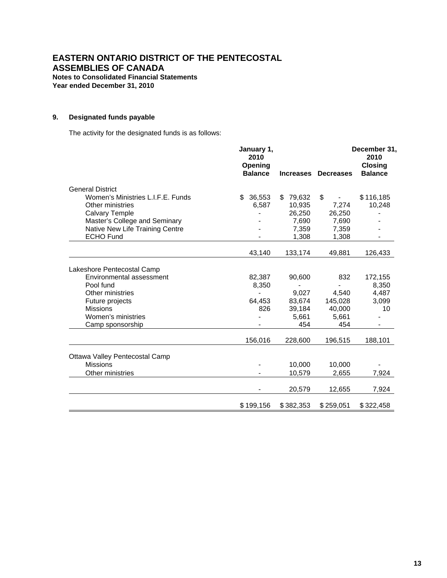**Year ended December 31, 2010**

# **9. Designated funds payable**

The activity for the designated funds is as follows:

| January 1,<br>2010<br>Opening<br><b>Balance</b> |                     |                                        | December 31,<br>2010<br><b>Closing</b><br><b>Balance</b>                  |
|-------------------------------------------------|---------------------|----------------------------------------|---------------------------------------------------------------------------|
|                                                 |                     |                                        |                                                                           |
| \$                                              |                     |                                        | \$116,185                                                                 |
| 6,587                                           | 10,935              |                                        | 10,248                                                                    |
|                                                 | 26,250              | 26,250                                 |                                                                           |
|                                                 | 7,690               | 7,690                                  |                                                                           |
|                                                 | 7,359               | 7,359                                  |                                                                           |
|                                                 | 1,308               | 1,308                                  |                                                                           |
| 43,140                                          | 133,174             | 49,881                                 | 126,433                                                                   |
|                                                 |                     |                                        |                                                                           |
| 82,387                                          | 90,600              | 832                                    | 172,155                                                                   |
| 8,350                                           |                     |                                        | 8,350                                                                     |
|                                                 | 9,027               | 4,540                                  | 4,487                                                                     |
| 64,453                                          | 83,674              | 145,028                                | 3,099                                                                     |
| 826                                             | 39,184              | 40.000                                 | 10                                                                        |
|                                                 | 5,661               |                                        |                                                                           |
|                                                 |                     |                                        |                                                                           |
| 156,016                                         | 228,600             | 196,515                                | 188,101                                                                   |
|                                                 |                     |                                        |                                                                           |
|                                                 |                     |                                        |                                                                           |
|                                                 | 10,579              | 2,655                                  | 7,924                                                                     |
|                                                 | 20,579              | 12,655                                 | 7,924                                                                     |
|                                                 |                     |                                        | \$322,458                                                                 |
|                                                 | 36,553<br>\$199,156 | \$79,632<br>454<br>10,000<br>\$382,353 | Increases Decreases<br>\$<br>7,274<br>5,661<br>454<br>10,000<br>\$259,051 |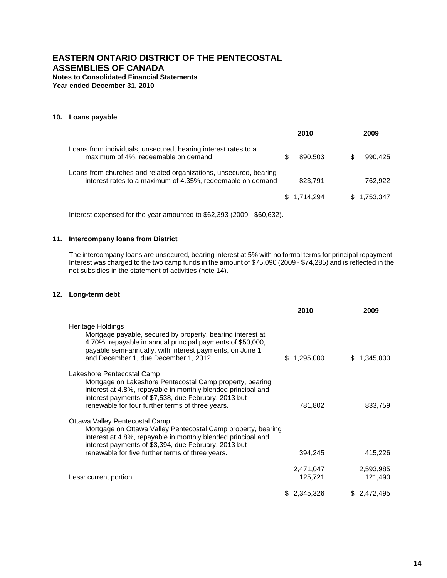**Year ended December 31, 2010**

## **10. Loans payable**

|                                                                                                                                 | 2010            | 2009      |
|---------------------------------------------------------------------------------------------------------------------------------|-----------------|-----------|
| Loans from individuals, unsecured, bearing interest rates to a<br>maximum of 4%, redeemable on demand                           | 890.503<br>S    | 990.425   |
| Loans from churches and related organizations, unsecured, bearing<br>interest rates to a maximum of 4.35%, redeemable on demand | 823,791         | 762,922   |
|                                                                                                                                 | 1.714.294<br>S. | 1,753,347 |

Interest expensed for the year amounted to \$62,393 (2009 - \$60,632).

#### **11. Intercompany loans from District**

The intercompany loans are unsecured, bearing interest at 5% with no formal terms for principal repayment. Interest was charged to the two camp funds in the amount of \$75,090 (2009 - \$74,285) and is reflected in the net subsidies in the statement of activities (note 14).

#### **12. Long-term debt**

|                                                                                                                                                                                                                                                                            | 2010                 | 2009                 |
|----------------------------------------------------------------------------------------------------------------------------------------------------------------------------------------------------------------------------------------------------------------------------|----------------------|----------------------|
| Heritage Holdings<br>Mortgage payable, secured by property, bearing interest at<br>4.70%, repayable in annual principal payments of \$50,000,<br>payable semi-annually, with interest payments, on June 1<br>and December 1, due December 1, 2012.                         | 1,295,000<br>S.      | 1,345,000            |
| Lakeshore Pentecostal Camp<br>Mortgage on Lakeshore Pentecostal Camp property, bearing<br>interest at 4.8%, repayable in monthly blended principal and<br>interest payments of \$7,538, due February, 2013 but<br>renewable for four further terms of three years.         | 781,802              | 833,759              |
| Ottawa Valley Pentecostal Camp<br>Mortgage on Ottawa Valley Pentecostal Camp property, bearing<br>interest at 4.8%, repayable in monthly blended principal and<br>interest payments of \$3,394, due February, 2013 but<br>renewable for five further terms of three years. | 394,245              | 415,226              |
| Less: current portion                                                                                                                                                                                                                                                      | 2,471,047<br>125,721 | 2,593,985<br>121,490 |
|                                                                                                                                                                                                                                                                            | \$ 2,345,326         | \$2,472,495          |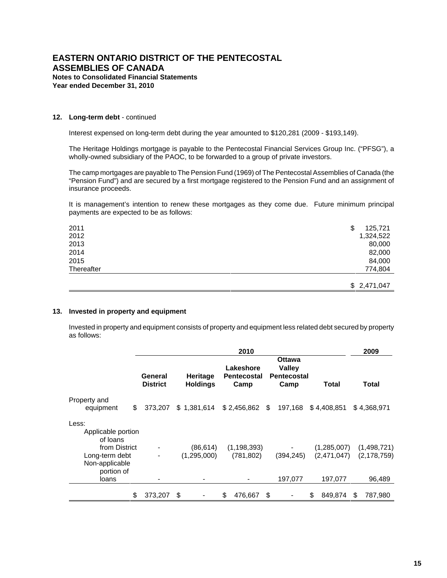#### **12. Long-term debt** - continued

Interest expensed on long-term debt during the year amounted to \$120,281 (2009 - \$193,149).

The Heritage Holdings mortgage is payable to the Pentecostal Financial Services Group Inc. ("PFSG"), a wholly-owned subsidiary of the PAOC, to be forwarded to a group of private investors.

The camp mortgages are payable to The Pension Fund (1969) of The Pentecostal Assemblies of Canada (the "Pension Fund") and are secured by a first mortgage registered to the Pension Fund and an assignment of insurance proceeds.

It is management's intention to renew these mortgages as they come due. Future minimum principal payments are expected to be as follows:

| 2011       | \$<br>125,721 |
|------------|---------------|
| 2012       | 1,324,522     |
| 2013       | 80,000        |
| 2014       | 82,000        |
| 2015       | 84,000        |
| Thereafter | 774,804       |
|            | \$2,471,047   |

#### **13. Invested in property and equipment**

Invested in property and equipment consists of property and equipment less related debt secured by property as follows:

|                                                                 |                            | 2009                               |                                         |     |                                                              |                            |                              |
|-----------------------------------------------------------------|----------------------------|------------------------------------|-----------------------------------------|-----|--------------------------------------------------------------|----------------------------|------------------------------|
|                                                                 | General<br><b>District</b> | <b>Heritage</b><br><b>Holdings</b> | Lakeshore<br><b>Pentecostal</b><br>Camp |     | <b>Ottawa</b><br><b>Valley</b><br><b>Pentecostal</b><br>Camp | Total                      | Total                        |
| Property and<br>equipment                                       | \$<br>373.207              | \$1,381,614                        | $$2,456,862$ \$                         |     | 197,168                                                      | \$4,408,851                | \$4,368,971                  |
| Less:<br>Applicable portion<br>of loans                         |                            |                                    |                                         |     |                                                              |                            |                              |
| from District<br>Long-term debt<br>Non-applicable<br>portion of |                            | (86,614)<br>(1,295,000)            | (1, 198, 393)<br>(781, 802)             |     | (394, 245)                                                   | (1,285,007)<br>(2,471,047) | (1,498,721)<br>(2, 178, 759) |
| loans                                                           |                            |                                    |                                         |     | 197,077                                                      | 197.077                    | 96,489                       |
|                                                                 | \$<br>373,207              | - \$                               | \$<br>476,667                           | -\$ |                                                              | \$<br>849,874              | 787,980<br>S.                |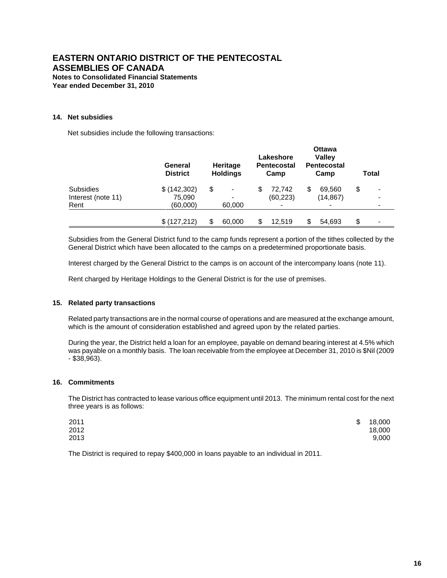#### **14. Net subsidies**

Net subsidies include the following transactions:

|                    | General<br><b>District</b> | <b>Heritage</b><br><b>Holdings</b> |                          | Lakeshore<br><b>Pentecostal</b><br>Camp |           | <b>Ottawa</b><br><b>Valley</b><br><b>Pentecostal</b><br>Camp |           | Total |   |
|--------------------|----------------------------|------------------------------------|--------------------------|-----------------------------------------|-----------|--------------------------------------------------------------|-----------|-------|---|
| Subsidies          | \$ (142, 302)              | \$                                 | -                        | S                                       | 72.742    | S                                                            | 69.560    | \$    | - |
| Interest (note 11) | 75,090                     |                                    | $\overline{\phantom{a}}$ |                                         | (60, 223) |                                                              | (14, 867) |       |   |
| Rent               | (60,000)                   |                                    | 60,000                   |                                         |           |                                                              |           |       |   |
|                    | \$(127,212)                | \$                                 | 60,000                   | \$                                      | 12.519    |                                                              | 54,693    | \$    |   |

Subsidies from the General District fund to the camp funds represent a portion of the tithes collected by the General District which have been allocated to the camps on a predetermined proportionate basis.

Interest charged by the General District to the camps is on account of the intercompany loans (note 11).

Rent charged by Heritage Holdings to the General District is for the use of premises.

#### **15. Related party transactions**

Related party transactions are in the normal course of operations and are measured at the exchange amount, which is the amount of consideration established and agreed upon by the related parties.

During the year, the District held a loan for an employee, payable on demand bearing interest at 4.5% which was payable on a monthly basis. The loan receivable from the employee at December 31, 2010 is \$Nil (2009 - \$38,963).

#### **16. Commitments**

The District has contracted to lease various office equipment until 2013. The minimum rental cost for the next three years is as follows:

| 2011 | S. | 18,000 |
|------|----|--------|
| 2012 |    | 18,000 |
| 2013 |    | 9,000  |

The District is required to repay \$400,000 in loans payable to an individual in 2011.